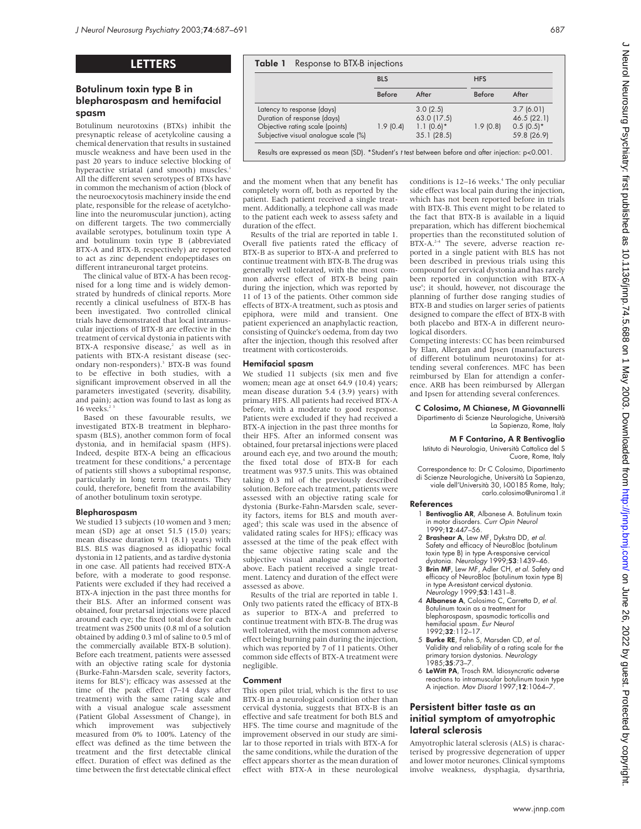# LETTERS

# Botulinum toxin type B in blepharospasm and hemifacial spasm

Botulinum neurotoxins (BTXs) inhibit the presynaptic release of acetylcoline causing a chemical denervation that results in sustained muscle weakness and have been used in the past 20 years to induce selective blocking of hyperactive striatal (and smooth) muscles.<sup>1</sup> All the different seven serotypes of BTXs have in common the mechanism of action (block of the neuroexocytosis machinery inside the end plate, responsible for the release of acetylcholine into the neuromuscular junction), acting on different targets. The two commercially available serotypes, botulinum toxin type A and botulinum toxin type B (abbreviated BTX-A and BTX-B, respectively) are reported to act as zinc dependent endopeptidases on different intraneuronal target proteins.

The clinical value of BTX-A has been recognised for a long time and is widely demonstrated by hundreds of clinical reports. More recently a clinical usefulness of BTX-B has been investigated. Two controlled clinical trials have demonstrated that local intramuscular injections of BTX-B are effective in the treatment of cervical dystonia in patients with BTX-A responsive disease,<sup>2</sup> as well as in patients with BTX-A resistant disease (secondary non-responders).<sup>3</sup> BTX-B was found to be effective in both studies, with a significant improvement observed in all the parameters investigated (severity, disability, and pain); action was found to last as long as  $16$  weeks.<sup>2</sup>

Based on these favourable results, we investigated BTX-B treatment in blepharospasm (BLS), another common form of focal dystonia, and in hemifacial spasm (HFS). Indeed, despite BTX-A being an efficacious treatment for these conditions,<sup>4</sup> a percentage of patients still shows a suboptimal response, particularly in long term treatments. They could, therefore, benefit from the availability of another botulinum toxin serotype.

## Blepharospasm

We studied 13 subjects (10 women and 3 men; mean (SD) age at onset 51.5 (15.0) years; mean disease duration 9.1 (8.1) years) with BLS. BLS was diagnosed as idiopathic focal dystonia in 12 patients, and as tardive dystonia in one case. All patients had received BTX-A before, with a moderate to good response. Patients were excluded if they had received a BTX-A injection in the past three months for their BLS. After an informed consent was obtained, four pretarsal injections were placed around each eye; the fixed total dose for each treatment was 2500 units (0.8 ml of a solution obtained by adding 0.3 ml of saline to 0.5 ml of the commercially available BTX-B solution). Before each treatment, patients were assessed with an objective rating scale for dystonia (Burke-Fahn-Marsden scale, severity factors, items for BLS<sup>5</sup>); efficacy was assessed at the time of the peak effect (7–14 days after treatment) with the same rating scale and with a visual analogue scale assessment (Patient Global Assessment of Change), in<br>which improvement was subjectively which improvement was subjectively measured from 0% to 100%. Latency of the effect was defined as the time between the treatment and the first detectable clinical effect. Duration of effect was defined as the time between the first detectable clinical effect

|                                      | <b>BLS</b> |             | <b>HFS</b>    |              |
|--------------------------------------|------------|-------------|---------------|--------------|
|                                      | Before     | After       | <b>Before</b> | After        |
| Latency to response (days)           |            | 3.0(2.5)    |               | 3.7(6.01)    |
| Duration of response (days)          |            | 63.0 (17.5) |               | 46.5 (22.1)  |
| Objective rating scale (points)      | 1.9(0.4)   | $1.1(0.6)*$ | 1.9(0.8)      | $0.5(0.5)^*$ |
| Subjective visual analogue scale (%) |            | 35.1(28.5)  |               | 59.8 (26.9)  |

and the moment when that any benefit has completely worn off, both as reported by the patient. Each patient received a single treatment. Additionally, a telephone call was made to the patient each week to assess safety and duration of the effect.

Results of the trial are reported in table 1. Overall five patients rated the efficacy of BTX-B as superior to BTX-A and preferred to continue treatment with BTX-B. The drug was generally well tolerated, with the most common adverse effect of BTX-B being pain during the injection, which was reported by 11 of 13 of the patients. Other common side effects of BTX-A treatment, such as ptosis and epiphora, were mild and transient. One patient experienced an anaphylactic reaction, consisting of Quincke's oedema, from day two after the injection, though this resolved after treatment with corticosteroids.

## Hemifacial spasm

We studied 11 subjects (six men and five women; mean age at onset 64.9 (10.4) years; mean disease duration 5.4 (3.9) years) with primary HFS. All patients had received BTX-A before, with a moderate to good response. Patients were excluded if they had received a BTX-A injection in the past three months for their HFS. After an informed consent was obtained, four pretarsal injections were placed around each eye, and two around the mouth; the fixed total dose of BTX-B for each treatment was 937.5 units. This was obtained taking 0.3 ml of the previously described solution. Before each treatment, patients were assessed with an objective rating scale for dystonia (Burke-Fahn-Marsden scale, severity factors, items for BLS and mouth averaged<sup>5</sup>; this scale was used in the absence of validated rating scales for HFS); efficacy was assessed at the time of the peak effect with the same objective rating scale and the subjective visual analogue scale reported above. Each patient received a single treatment. Latency and duration of the effect were assessed as above.

Results of the trial are reported in table 1. Only two patients rated the efficacy of BTX-B as superior to BTX-A and preferred to continue treatment with BTX-B. The drug was well tolerated, with the most common adverse effect being burning pain during the injection, which was reported by 7 of 11 patients. Other common side effects of BTX-A treatment were negligible.

## Comment

This open pilot trial, which is the first to use BTX-B in a neurological condition other than cervical dystonia, suggests that BTX-B is an effective and safe treatment for both BLS and HFS. The time course and magnitude of the improvement observed in our study are similar to those reported in trials with BTX-A for the same conditions, while the duration of the effect appears shorter as the mean duration of effect with BTX-A in these neurological conditions is 12–16 weeks.<sup>4</sup> The only peculiar side effect was local pain during the injection, which has not been reported before in trials with BTX-B. This event might to be related to the fact that BTX-B is available in a liquid preparation, which has different biochemical properties than the reconstituted solution of BTX-A.<sup>2-4</sup> The severe, adverse reaction reported in a single patient with BLS has not been described in previous trials using this compound for cervical dystonia and has rarely been reported in conjunction with BTX-A use<sup>6</sup>; it should, however, not discourage the planning of further dose ranging studies of BTX-B and studies on larger series of patients designed to compare the effect of BTX-B with both placebo and BTX-A in different neurological disorders.

Competing interests: CC has been reimbursed by Elan, Allergan and Ipsen (manufacturers of different botulinum neurotoxins) for attending several conferences. MFC has been reimbursed by Elan for attendign a conference. ARB has been reimbursed by Allergan and Ipsen for attending several conferences.

C Colosimo, M Chianese, M Giovannelli Dipartimento di Scienze Neurologiche, Università La Sapienza, Rome, Italy

## M F Contarino, A R Bentivoglio

Istituto di Neurologia, Università Cattolica del S Cuore, Rome, Italy

Correspondence to: Dr C Colosimo, Dipartimento di Scienze Neurologiche, Università La Sapienza, viale dell'Università 30, I-00185 Rome, Italy; carlo.colosimo@uniroma1.it

## References

- 1 Bentivoglio AR, Albanese A. Botulinum toxin in motor disorders. Curr Opin Neurol 1999;12:447–56.
- 2 **Brashear A**, Lew MF, Dykstra DD, et al. Safety and efficacy of NeuroBloc (botulinum toxin type B) in type A-responsive cervical
- dystonia. Ne*urology* 1999;**53**:1439–46.<br>3 **Brin MF**, Lew MF, Adler CH, *et al*. Safety and efficacy of NeuroBloc (botulinum toxin type B) in type A-resistant cervical dystonia. Neurology 1999;53:1431-8.
- 4 Albanese A, Colosimo C, Carretta D, et al. Botulinum toxin as a treatment for blepharospasm, spasmodic torticollis and hemifacial spasm. Eur Neurol 1992;32:112–17.
- 5 Burke RE, Fahn S, Marsden CD, et al. Validity and reliability of a rating scale for the primary torsion dystonias. Neurology 1985;35:73–7.
- 6 LeWitt PA, Trosch RM. Idiosyncratic adverse reactions to intramuscular botulinum toxin type A injection. Mov Disord 1997;12:1064–7.

# Persistent bitter taste as an initial symptom of amyotrophic lateral sclerosis

Amyotrophic lateral sclerosis (ALS) is characterised by progressive degeneration of upper and lower motor neurones. Clinical symptoms involve weakness, dysphagia, dysarthria,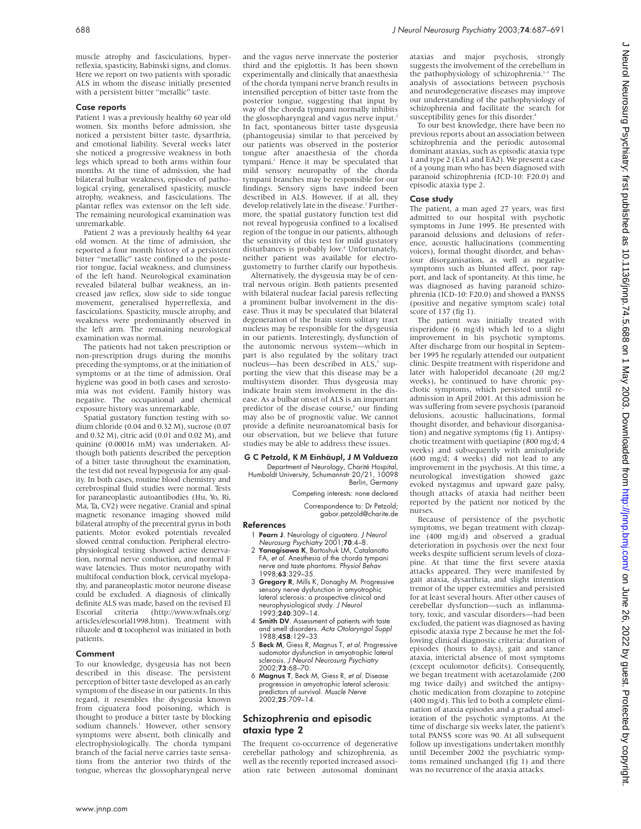muscle atrophy and fasciculations, hyperreflexia, spasticity, Babinski signs, and clonus. Here we report on two patients with sporadic ALS in whom the disease initially presented with a persistent bitter "metallic" taste.

## Case reports

Patient 1 was a previously healthy 60 year old women. Six months before admission, she noticed a persistent bitter taste, dysarthria, and emotional liability. Several weeks later she noticed a progressive weakness in both legs which spread to both arms within four months. At the time of admission, she had bilateral bulbar weakness, episodes of pathological crying, generalised spasticity, muscle atrophy, weakness, and fasciculations. The plantar reflex was extensor on the left side. The remaining neurological examination was unremarkable.

Patient 2 was a previously healthy 64 year old women. At the time of admission, she reported a four month history of a persistent bitter "metallic" taste confined to the posterior tongue, facial weakness, and clumsiness of the left hand. Neurological examination revealed bilateral bulbar weakness, an increased jaw reflex, slow side to side tongue movement, generalised hyperreflexia, and fasciculations. Spasticity, muscle atrophy, and weakness were predominantly observed in the left arm. The remaining neurological examination was normal.

The patients had not taken prescription or non-prescription drugs during the months preceding the symptoms, or at the initiation of symptoms or at the time of admission. Oral hygiene was good in both cases and xerostomia was not evident. Family history was negative. The occupational and chemical exposure history was unremarkable.

Spatial gustatory function testing with sodium chloride (0.04 and 0.32 M), sucrose (0.07 and 0.32 M), citric acid (0.01 and 0.02 M), and quinine (0.00016 mM) was undertaken. Although both patients described the perception of a bitter taste throughout the examination, the test did not reveal hypogeusia for any quality. In both cases, routine blood chemistry and cerebrospinal fluid studies were normal. Tests for paraneoplastic autoantibodies (Hu, Yo, Ri, Ma, Ta, CV2) were negative. Cranial and spinal magnetic resonance imaging showed mild bilateral atrophy of the precentral gyrus in both patients. Motor evoked potentials revealed slowed central conduction. Peripheral electrophysiological testing showed active denervation, normal nerve conduction, and normal F wave latencies. Thus motor neuropathy with multifocal conduction block, cervical myelopathy, and paraneoplastic motor neurone disease could be excluded. A diagnosis of clinically definite ALS was made, based on the revised El Escorial criteria (http://www.wfnals.org/  $(http://www.wfnals.org/$ articles/elescorial1998.htm). Treatment with riluzole and α tocopherol was initiated in both patients.

### Comment

To our knowledge, dysgeusia has not been described in this disease. The persistent perception of bitter taste developed as an early symptom of the disease in our patients. In this regard, it resembles the dysgeusia known from ciguatera food poisoning, which is thought to produce a bitter taste by blocking sodium channels.<sup>1</sup> However, other sensory symptoms were absent, both clinically and electrophysiologically. The chorda tympani branch of the facial nerve carries taste sensations from the anterior two thirds of the tongue, whereas the glossopharyngeal nerve

and the vagus nerve innervate the posterior third and the epiglottis. It has been shown experimentally and clinically that anaesthesia of the chorda tympani nerve branch results in intensified perception of bitter taste from the posterior tongue, suggesting that input by way of the chorda tympani normally inhibits the glossopharyngeal and vagus nerve input.<sup>2</sup> In fact, spontaneous bitter taste dysgeusia (phantogeusia) similar to that perceived by our patients was observed in the posterior tongue after anaesthesia of the chorda tympani.<sup>2</sup> Hence it may be speculated that mild sensory neuropathy of the chorda tympani branches may be responsible for our findings. Sensory signs have indeed been described in ALS. However, if at all, they develop relatively late in the disease.<sup>3</sup> Furthermore, the spatial gustatory function test did not reveal hypogeusia confined to a localised region of the tongue in our patients, although the sensitivity of this test for mild gustatory disturbances is probably low.<sup>4</sup> Unfortunately, neither patient was available for electrogustometry to further clarify our hypothesis.

Alternatively, the dysgeusia may be of central nervous origin. Both patients presented with bilateral nuclear facial paresis reflecting a prominent bulbar involvement in the disease. Thus it may be speculated that bilateral degeneration of the brain stem solitary tract nucleus may be responsible for the dysgeusia in our patients. Interestingly, dysfunction of the autonomic nervous system—which in part is also regulated by the solitary tract nucleus—has been described in ALS,<sup>5</sup> supporting the view that this disease may be a multisystem disorder. Thus dysgeusia may indicate brain stem involvement in the disease. As a bulbar onset of ALS is an important predictor of the disease course,<sup>6</sup> our finding may also be of prognostic value. We cannot provide a definite neuroanatomical basis for our observation, but we believe that future studies may be able to address these issues.

## G C Petzold, K M Einhäupl, J M Valdueza

Department of Neurology, Charité Hospital, Humboldt University, Schumannstr 20/21, 10098 Berlin, Germany

Competing interests: none declared

Correspondence to: Dr Petzold; gabor.petzold@charite.de

#### References

- 1 Pearn J. Neurology of ciguatera. J Neurol Neurosurg Psychiatry 2001;70:4–8.
- 2 Yanagisawa K, Bartoshuk LM, Catalanotto FA, et al. Anesthesia of the chorda tympani nerve and taste phantoms. Physiol Behav 1998;63:329–35.
- 3 Gregory R, Mills K, Donaghy M. Progressive sensory nerve dysfunction in amyotrophic lateral sclerosis: a prospective clinical and neurophysiological study. J Neurol 1993;240:309–14.
- 4 Smith DV. Assessment of patients with taste and smell disorders. Acta Otolaryngol Suppl 1988:458:129-33.
- 5 Beck M, Giess R, Magnus T, et al. Progressive sudomotor dysfunction in amyotrophic lateral sclerosis. J Neurol Neurosurg Psychiatry 2002;73:68–70.
- 6 Magnus T, Beck M, Giess R, et al. Disease progression in amyotrophic lateral sclerosis: predictors of survival. Muscle Nerve 2002;25:709–14.

## Schizophrenia and episodic ataxia type 2

The frequent co-occurrence of degenerative cerebellar pathology and schizophrenia, as well as the recently reported increased association rate between autosomal dominant ataxias and major psychosis, strongly suggests the involvement of the cerebellum in the pathophysiology of schizophrenia.<sup>1-3</sup> The analysis of associations between psychosis and neurodegenerative diseases may improve our understanding of the pathophysiology of schizophrenia and facilitate the search for susceptibility genes for this disorder.<sup>4</sup>

To our best knowledge, there have been no previous reports about an association between schizophrenia and the periodic autosomal dominant ataxias, such as episodic ataxia type 1 and type 2 (EA1 and EA2). We present a case of a young man who has been diagnosed with paranoid schizophrenia (ICD-10: F20.0) and episodic ataxia type 2.

## Case study

The patient, a man aged 27 years, was first admitted to our hospital with psychotic symptoms in June 1995. He presented with paranoid delusions and delusions of reference, acoustic hallucinations (commenting voices), formal thought disorder, and behaviour disorganisation, as well as negative symptoms such as blunted affect, poor rapport, and lack of spontaneity. At this time, he was diagnosed as having paranoid schizophrenia (ICD-10: F20.0) and showed a PANSS (positive and negative symptom scale) total score of 137 (fig 1).

The patient was initially treated with risperidone (6 mg/d) which led to a slight improvement in his psychotic symptoms. After discharge from our hospital in September 1995 he regularly attended our outpatient clinic. Despite treatment with risperidone and later with haloperidol decanoate (20 mg/2 weeks), he continued to have chronic psychotic symptoms, which persisted until readmission in April 2001. At this admission he was suffering from severe psychosis (paranoid delusions, acoustic hallucinations, formal thought disorder, and behaviour disorganisation) and negative symptoms (fig 1). Antipsychotic treatment with quetiapine (800 mg/d; 4 weeks) and subsequently with amisulpride (600 mg/d; 4 weeks) did not lead to any improvement in the psychosis. At this time, a neurological investigation showed gaze evoked nystagmus and upward gaze palsy, though attacks of ataxia had neither been reported by the patient nor noticed by the nurses.

Because of persistence of the psychotic symptoms, we began treatment with clozapine (400 mg/d) and observed a gradual deterioration in psychosis over the next four weeks despite sufficient serum levels of clozapine. At that time the first severe ataxia attacks appeared. They were manifested by gait ataxia, dysarthria, and slight intention tremor of the upper extremities and persisted for at least several hours. After other causes of cerebellar dysfunction—such as inflammatory, toxic, and vascular disorders—had been excluded, the patient was diagnosed as having episodic ataxia type 2 because he met the following clinical diagnostic criteria: duration of episodes (hours to days), gait and stance ataxia, interictal absence of most symptoms (except oculomotor deficits). Consequently, we began treatment with acetazolamide (200 mg twice daily) and switched the antipsychotic medication from clozapine to zotepine (400 mg/d). This led to both a complete elimination of ataxia episodes and a gradual amelioration of the psychotic symptoms. At the time of discharge six weeks later, the patient's total PANSS score was 90. At all subsequent follow up investigations undertaken monthly until December 2002 the psychiatric symptoms remained unchanged (fig 1) and there was no recurrence of the ataxia attacks.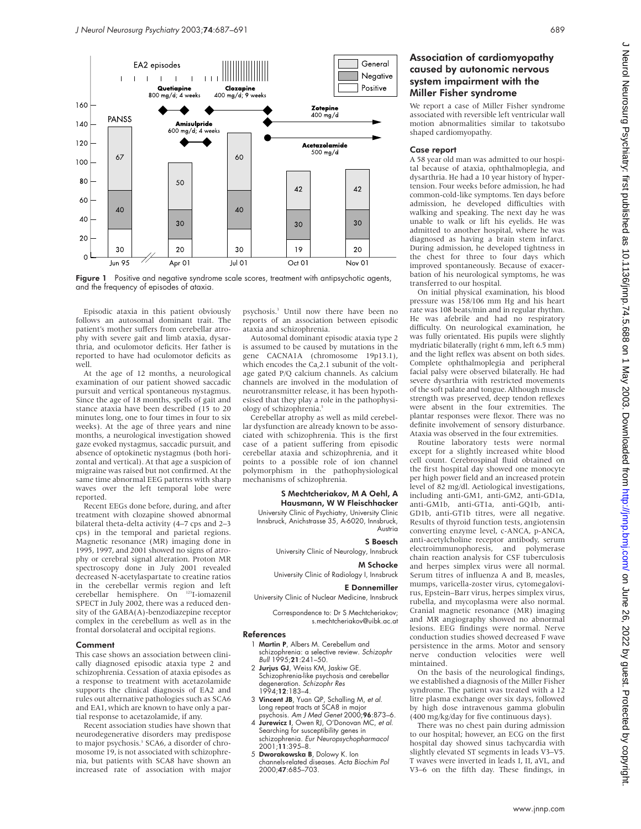



Episodic ataxia in this patient obviously follows an autosomal dominant trait. The patient's mother suffers from cerebellar atrophy with severe gait and limb ataxia, dysarthria, and oculomotor deficits. Her father is reported to have had oculomotor deficits as well.

At the age of 12 months, a neurological examination of our patient showed saccadic pursuit and vertical spontaneous nystagmus. Since the age of 18 months, spells of gait and stance ataxia have been described (15 to 20 minutes long, one to four times in four to six weeks). At the age of three years and nine months, a neurological investigation showed gaze evoked nystagmus, saccadic pursuit, and absence of optokinetic nystagmus (both horizontal and vertical). At that age a suspicion of migraine was raised but not confirmed. At the same time abnormal EEG patterns with sharp waves over the left temporal lobe were reported.

Recent EEGs done before, during, and after treatment with clozapine showed abnormal bilateral theta-delta activity (4–7 cps and 2–3 cps) in the temporal and parietal regions. Magnetic resonance (MR) imaging done in 1995, 1997, and 2001 showed no signs of atrophy or cerebral signal alteration. Proton MR spectroscopy done in July 2001 revealed decreased N-acetylaspartate to creatine ratios in the cerebellar vermis region and left cerebellar hemisphere. On 123I-iomazenil SPECT in July 2002, there was a reduced density of the GABA(A)-benzodiazepine receptor complex in the cerebellum as well as in the frontal dorsolateral and occipital regions.

## Comment

This case shows an association between clinically diagnosed episodic ataxia type 2 and schizophrenia. Cessation of ataxia episodes as a response to treatment with acetazolamide supports the clinical diagnosis of EA2 and rules out alternative pathologies such as SCA6 and EA1, which are known to have only a partial response to acetazolamide, if any.

Recent association studies have shown that neurodegenerative disorders may predispose to major psychosis.<sup>3</sup> SCA6, a disorder of chromosome 19, is not associated with schizophrenia, but patients with SCA8 have shown an increased rate of association with major

psychosis.3 Until now there have been no reports of an association between episodic ataxia and schizophrenia.

Autosomal dominant episodic ataxia type 2 is assumed to be caused by mutations in the gene CACNA1A (chromosome 19p13.1), which encodes the Ca<sub>v</sub>2.1 subunit of the voltage gated P/Q calcium channels. As calcium channels are involved in the modulation of neurotransmitter release, it has been hypothesised that they play a role in the pathophysiology of schizophrenia.<sup>5</sup>

Cerebellar atrophy as well as mild cerebellar dysfunction are already known to be associated with schizophrenia. This is the first case of a patient suffering from episodic cerebellar ataxia and schizophrenia, and it points to a possible role of ion channel polymorphism in the pathophysiological mechanisms of schizophrenia.

## S Mechtcheriakov, M A Oehl, A Hausmann, W W Fleischhacker

University Clinic of Psychiatry, University Clinic Innsbruck, Anichstrasse 35, A-6020, Innsbruck, Austria

### S Boesch

University Clinic of Neurology, Innsbruck

#### M Schocke

University Clinic of Radiology I, Innsbruck

### E Donnemiller University Clinic of Nuclear Medicine, Innsbruck

Correspondence to: Dr S Mechtcheriakov; s.mechtcheriakov@uibk.ac.at

### References

- 1 Martin P, Albers M. Cerebellum and schizophrenia: a selective review. Schizophr Bull 1995;21:241–50.
- 2 Jurjus GJ, Weiss KM, Jaskiw GE. Schizophrenia-like psychosis and cerebellar degeneration. Schizophr Res 1994;12:183–4.
- 3 Vincent JB, Yuan QP, Schalling M, et al. Long repeat tracts at SCA8 in major
- psychosis. Am J Med Genet 2000;96:873–6. 4 Jurewicz I, Owen RJ, O'Donovan MC, et al. Searching for susceptibility genes in
- schizophrenia. Eur Neuropsychopharmacol 2001;11:395–8. 5 Dworakowska B, Dolowy K. Ion
- channels-related diseases. Acta Biochim Pol 2000;47:685–703.

## Association of cardiomyopathy caused by autonomic nervous system impairment with the Miller Fisher syndrome

We report a case of Miller Fisher syndrome associated with reversible left ventricular wall motion abnormalities similar to takotsubo shaped cardiomyopathy.

### Case report

A 58 year old man was admitted to our hospital because of ataxia, ophthalmoplegia, and dysarthria. He had a 10 year history of hypertension. Four weeks before admission, he had common-cold-like symptoms. Ten days before admission, he developed difficulties with walking and speaking. The next day he was unable to walk or lift his eyelids. He was admitted to another hospital, where he was diagnosed as having a brain stem infarct. During admission, he developed tightness in the chest for three to four days which improved spontaneously. Because of exacerbation of his neurological symptoms, he was transferred to our hospital.

On initial physical examination, his blood pressure was 158/106 mm Hg and his heart rate was 108 beats/min and in regular rhythm. He was afebrile and had no respiratory difficulty. On neurological examination, he was fully orientated. His pupils were slightly mydriatic bilaterally (right 6 mm, left 6.5 mm) and the light reflex was absent on both sides. Complete ophthalmoplegia and peripheral facial palsy were observed bilaterally. He had severe dysarthria with restricted movements of the soft palate and tongue. Although muscle strength was preserved, deep tendon reflexes were absent in the four extremities. The plantar responses were flexor. There was no definite involvement of sensory disturbance. Ataxia was observed in the four extremities.

Routine laboratory tests were normal except for a slightly increased white blood cell count. Cerebrospinal fluid obtained on the first hospital day showed one monocyte per high power field and an increased protein level of 82 mg/dl. Aetiological investigations, including anti-GM1, anti-GM2, anti-GD1a, anti-GM1b, anti-GT1a, anti-GQ1b, anti-GD1b, anti-GT1b titres, were all negative. Results of thyroid function tests, angiotensin converting enzyme level, c-ANCA, p-ANCA, anti-acetylcholine receptor antibody, serum electroimmunophoresis, and polymerase chain reaction analysis for CSF tuberculosis and herpes simplex virus were all normal. Serum titres of influenza A and B, measles, mumps, varicella-zoster virus, cytomegalovirus, Epstein–Barr virus, herpes simplex virus, rubella, and mycoplasma were also normal. Cranial magnetic resonance (MR) imaging and MR angiography showed no abnormal lesions. EEG findings were normal. Nerve conduction studies showed decreased F wave persistence in the arms. Motor and sensory nerve conduction velocities were well mintained.

On the basis of the neurological findings, we established a diagnosis of the Miller Fisher syndrome. The patient was treated with a 12 litre plasma exchange over six days, followed by high dose intravenous gamma globulin (400 mg/kg/day for five continuous days).

There was no chest pain during admission to our hospital; however, an ECG on the first hospital day showed sinus tachycardia with slightly elevated ST segments in leads V3–V5. T waves were inverted in leads I, II, aVL, and V3–6 on the fifth day. These findings, in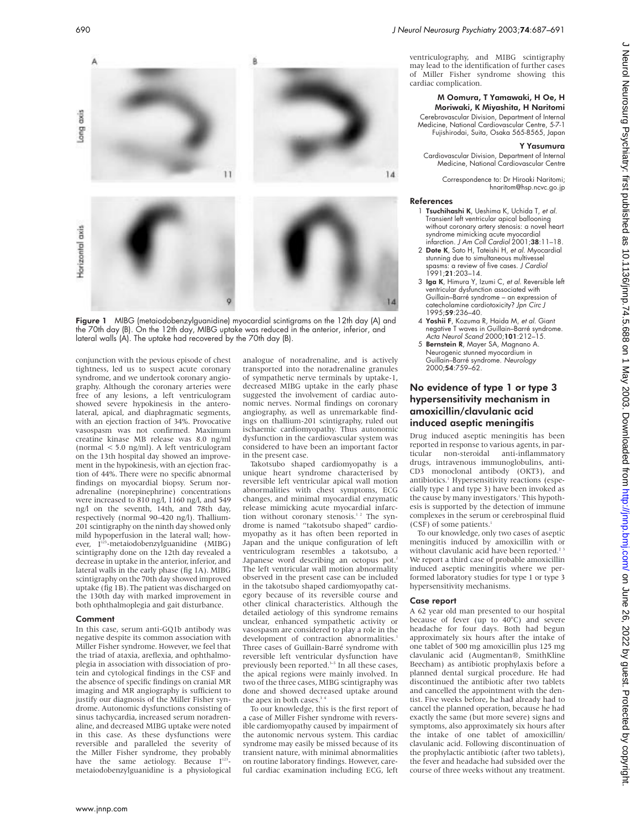

Figure 1 MIBG (metaiodobenzylguanidine) myocardial scintigrams on the 12th day (A) and the 70th day (B). On the 12th day, MIBG uptake was reduced in the anterior, inferior, and lateral walls (A). The uptake had recovered by the 70th day (B).

conjunction with the pevious episode of chest tightness, led us to suspect acute coronary syndrome, and we undertook coronary angiography. Although the coronary arteries were free of any lesions, a left ventriculogram showed severe hypokinesis in the anterolateral, apical, and diaphragmatic segments, with an ejection fraction of 34%. Provocative vasospasm was not confirmed. Maximum creatine kinase MB release was 8.0 ng/ml (normal < 5.0 ng/ml). A left ventriculogram on the 13th hospital day showed an improvement in the hypokinesis, with an ejection fraction of 44%. There were no specific abnormal findings on myocardial biopsy. Serum noradrenaline (norepinephrine) concentrations were increased to 810 ng/l, 1160 ng/l, and 549 ng/l on the seventh, 14th, and 78th day, respectively (normal 90–420 ng/l). Thallium-201 scintigraphy on the ninth day showed only mild hypoperfusion in the lateral wall; however, I<sup>123</sup>-metaiodobenzylguanidine (MIBG) scintigraphy done on the 12th day revealed a decrease in uptake in the anterior, inferior, and lateral walls in the early phase (fig 1A). MIBG scintigraphy on the 70th day showed improved uptake (fig 1B). The patient was discharged on the 130th day with marked improvement in both ophthalmoplegia and gait disturbance.

### Comment

In this case, serum anti-GQ1b antibody was negative despite its common association with Miller Fisher syndrome. However, we feel that the triad of ataxia, areflexia, and ophthalmoplegia in association with dissociation of protein and cytological findings in the CSF and the absence of specific findings on cranial MR imaging and MR angiography is sufficient to justify our diagnosis of the Miller Fisher syndrome. Autonomic dysfunctions consisting of sinus tachycardia, increased serum noradrenaline, and decreased MIBG uptake were noted in this case. As these dysfunctions were reversible and paralleled the severity of the Miller Fisher syndrome, they probably have the same aetiology. Because  $I^{123}$ metaiodobenzylguanidine is a physiological

analogue of noradrenaline, and is actively transported into the noradrenaline granules of sympathetic nerve terminals by uptake-1, decreased MIBG uptake in the early phase suggested the involvement of cardiac autonomic nerves. Normal findings on coronary angiography, as well as unremarkable findings on thallium-201 scintigraphy, ruled out ischaemic cardiomyopathy. Thus autonomic dysfunction in the cardiovascular system was considered to have been an important factor in the present case.

Takotsubo shaped cardiomyopathy is a unique heart syndrome characterised by reversible left ventricular apical wall motion abnormalities with chest symptoms, ECG changes, and minimal myocardial enzymatic release mimicking acute myocardial infarction without coronary stenosis.<sup>12</sup> The syndrome is named "takotsubo shaped" cardiomyopathy as it has often been reported in Japan and the unique configuration of left ventriculogram resembles a takotsubo, a Japanese word describing an octopus pot.<sup>2</sup> The left ventricular wall motion abnormality observed in the present case can be included in the takotsubo shaped cardiomyopathy category because of its reversible course and other clinical characteristics. Although the detailed aetiology of this syndrome remains unclear, enhanced sympathetic activity or vasospasm are considered to play a role in the development of contraction abnormalities. Three cases of Guillain-Barré syndrome with reversible left ventricular dysfunction have previously been reported.<sup>3-5</sup> In all these cases, the apical regions were mainly involved. In two of the three cases, MIBG scintigraphy was done and showed decreased uptake around the apex in both cases.<sup>3</sup>

To our knowledge, this is the first report of a case of Miller Fisher syndrome with reversible cardiomyopathy caused by impairment of the autonomic nervous system. This cardiac syndrome may easily be missed because of its transient nature, with minimal abnormalities on routine laboratory findings. However, careful cardiac examination including ECG, left

ventriculography, and MIBG scintigraphy may lead to the identification of further cases of Miller Fisher syndrome showing this cardiac complication.

## M Oomura, T Yamawaki, H Oe, H Moriwaki, K Miyashita, H Naritomi

Cerebrovascular Division, Department of Internal Medicine, National Cardiovascular Centre, 5-7-1 Fujishirodai, Suita, Osaka 565-8565, Japan

#### Y Yasumura

Cardiovascular Division, Department of Internal Medicine, National Cardiovascular Centre

Correspondence to: Dr Hiroaki Naritomi; hnaritom@hsp.ncvc.go.jp

### References

- 1 Tsuchihashi K, Ueshima K, Uchida T, et al. Transient left ventricular apical ballooning without coronary artery stenosis: a novel heart syndrome mimicking acute myocardial infarction. J Am Coll Cardiol 2001;38:11–18.
- 2 Dote K, Sato H, Tateishi H, et al. Myocardial stunning due to simultaneous multivessel spasms: a review of five cases. J Cardiol 1991;21:203–14.
- 3 Iga K, Himura Y, Izumi C, et al. Reversible left ventricular dysfunction associated with Guillain–Barré syndrome – an expression of catecholamine cardiotoxicity? Jpn Circ J 1995;59:236–40.
- 4 Yoshii F, Kozuma R, Haida M, et al. Giant negative T waves in Guillain–Barré syndrome. Acta Neurol Scand 2000;101:212–15.
- 5 Bernstein R, Mayer SA, Magnano A. Neurogenic stunned myocardium in<br>Guillain–Barré syndrome. *Neurology*<br>2000;**54**:759–62.

# No evidence of type 1 or type 3 hypersensitivity mechanism in amoxicillin/clavulanic acid induced aseptic meningitis

Drug induced aseptic meningitis has been reported in response to various agents, in par-<br>ticular pon-steroidal anti-inflammatory non-steroidal anti-inflammatory drugs, intravenous immunoglobulins, anti-CD3 monoclonal antibody (OKT3), and antibiotics.<sup>1</sup> Hypersensitivity reactions (especially type 1 and type 3) have been invoked as the cause by many investigators.<sup>1</sup> This hypothesis is supported by the detection of immune complexes in the serum or cerebrospinal fluid (CSF) of some patients.

To our knowledge, only two cases of aseptic meningitis induced by amoxicillin with or without clavulanic acid have been reported.<sup>2</sup> We report a third case of probable amoxicillin induced aseptic meningitis where we performed laboratory studies for type 1 or type 3 hypersensitivity mechanisms.

## Case report

A 62 year old man presented to our hospital because of fever (up to 40°C) and severe headache for four days. Both had begun approximately six hours after the intake of one tablet of 500 mg amoxicillin plus 125 mg clavulanic acid (Augmentan®, SmithKline Beecham) as antibiotic prophylaxis before a planned dental surgical procedure. He had discontinued the antibiotic after two tablets and cancelled the appointment with the dentist. Five weeks before, he had already had to cancel the planned operation, because he had exactly the same (but more severe) signs and symptoms, also approximately six hours after the intake of one tablet of amoxicillin/ clavulanic acid. Following discontinuation of the prophylactic antibiotic (after two tablets), the fever and headache had subsided over the course of three weeks without any treatment.